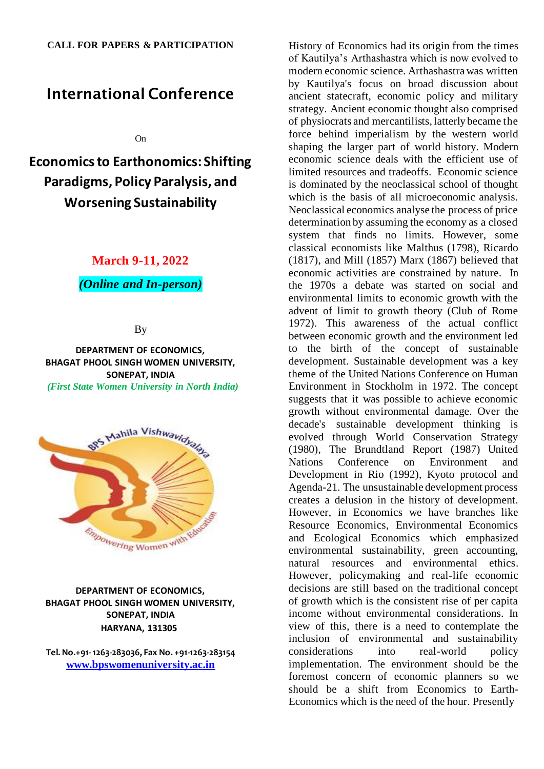# **International Conference**

On

**Economics to Earthonomics: Shifting Paradigms, Policy Paralysis, and Worsening Sustainability**

# **March 9-11, 2022**

### *(Online and In-person)*

#### By

**DEPARTMENT OF ECONOMICS, BHAGAT PHOOL SINGH WOMEN UNIVERSITY, SONEPAT, INDIA** *(First State Women University in North India)*



### **DEPARTMENT OF ECONOMICS, BHAGAT PHOOL SINGH WOMEN UNIVERSITY, SONEPAT, INDIA HARYANA, 131305**

**Tel. No.+91-1263-283036, Fax No. +91-1263-283154 [www.bpswomenuniversity.ac.in](http://www.bpswomenuniversity.ac.in/)**

History of Economics had its origin from the times of Kautilya's Arthashastra which is now evolved to modern economic science. Arthashastra was written by Kautilya's focus on broad discussion about ancient statecraft, economic policy and military strategy. Ancient economic thought also comprised of physiocrats and mercantilists, latterly became the force behind imperialism by the western world shaping the larger part of world history. Modern economic science deals with the efficient use of limited resources and tradeoffs. Economic science is dominated by the neoclassical school of thought which is the basis of all microeconomic analysis. Neoclassical economics analyse the process of price determination by assuming the economy as a closed system that finds no limits. However, some classical economists like Malthus (1798), Ricardo (1817), and Mill (1857) Marx (1867) believed that economic activities are constrained by nature. In the 1970s a debate was started on social and environmental limits to economic growth with the advent of limit to growth theory (Club of Rome 1972). This awareness of the actual conflict between economic growth and the environment led to the birth of the concept of sustainable development. Sustainable development was a key theme of the United Nations Conference on Human Environment in Stockholm in 1972. The concept suggests that it was possible to achieve economic growth without environmental damage. Over the decade's sustainable development thinking is evolved through World Conservation Strategy (1980), The Brundtland Report (1987) United Nations Conference on Environment and Development in Rio (1992), Kyoto protocol and Agenda-21. The unsustainable development process creates a delusion in the history of development. However, in Economics we have branches like Resource Economics, Environmental Economics and Ecological Economics which emphasized environmental sustainability, green accounting, natural resources and environmental ethics. However, policymaking and real-life economic decisions are still based on the traditional concept of growth which is the consistent rise of per capita income without environmental considerations. In view of this, there is a need to contemplate the inclusion of environmental and sustainability considerations into real-world policy implementation. The environment should be the foremost concern of economic planners so we should be a shift from Economics to Earth-Economics which is the need of the hour. Presently